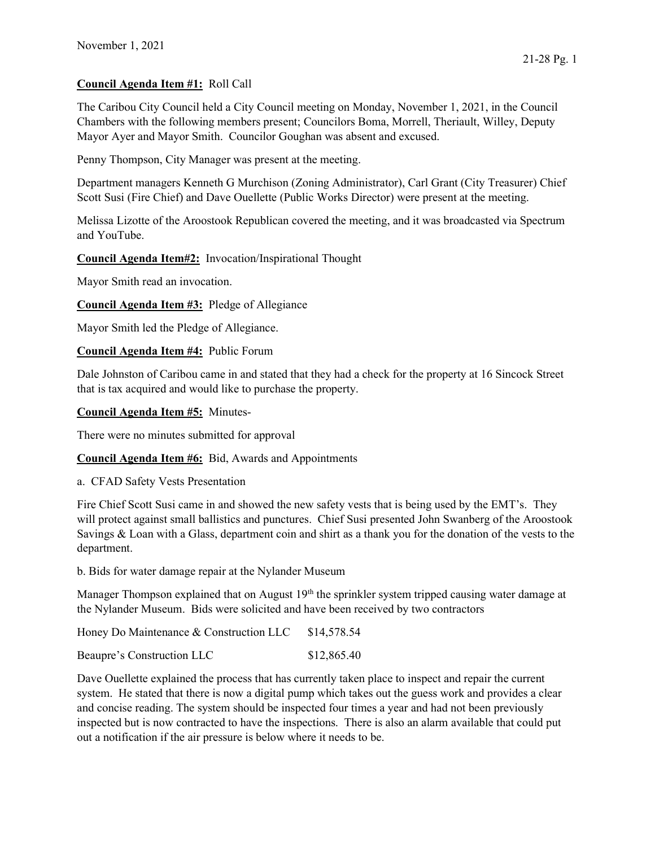## Council Agenda Item #1: Roll Call

The Caribou City Council held a City Council meeting on Monday, November 1, 2021, in the Council Chambers with the following members present; Councilors Boma, Morrell, Theriault, Willey, Deputy Mayor Ayer and Mayor Smith. Councilor Goughan was absent and excused.

Penny Thompson, City Manager was present at the meeting.

Department managers Kenneth G Murchison (Zoning Administrator), Carl Grant (City Treasurer) Chief Scott Susi (Fire Chief) and Dave Ouellette (Public Works Director) were present at the meeting.

Melissa Lizotte of the Aroostook Republican covered the meeting, and it was broadcasted via Spectrum and YouTube.

Council Agenda Item#2: Invocation/Inspirational Thought

Mayor Smith read an invocation.

Council Agenda Item #3: Pledge of Allegiance

Mayor Smith led the Pledge of Allegiance.

Council Agenda Item #4: Public Forum

Dale Johnston of Caribou came in and stated that they had a check for the property at 16 Sincock Street that is tax acquired and would like to purchase the property.

Council Agenda Item #5: Minutes-

There were no minutes submitted for approval

Council Agenda Item #6: Bid, Awards and Appointments

a. CFAD Safety Vests Presentation

Fire Chief Scott Susi came in and showed the new safety vests that is being used by the EMT's. They will protect against small ballistics and punctures. Chief Susi presented John Swanberg of the Aroostook Savings & Loan with a Glass, department coin and shirt as a thank you for the donation of the vests to the department.

b. Bids for water damage repair at the Nylander Museum

Manager Thompson explained that on August 19<sup>th</sup> the sprinkler system tripped causing water damage at the Nylander Museum. Bids were solicited and have been received by two contractors

Honey Do Maintenance & Construction LLC \$14,578.54

Beaupre's Construction LLC \$12,865.40

Dave Ouellette explained the process that has currently taken place to inspect and repair the current system. He stated that there is now a digital pump which takes out the guess work and provides a clear and concise reading. The system should be inspected four times a year and had not been previously inspected but is now contracted to have the inspections. There is also an alarm available that could put out a notification if the air pressure is below where it needs to be.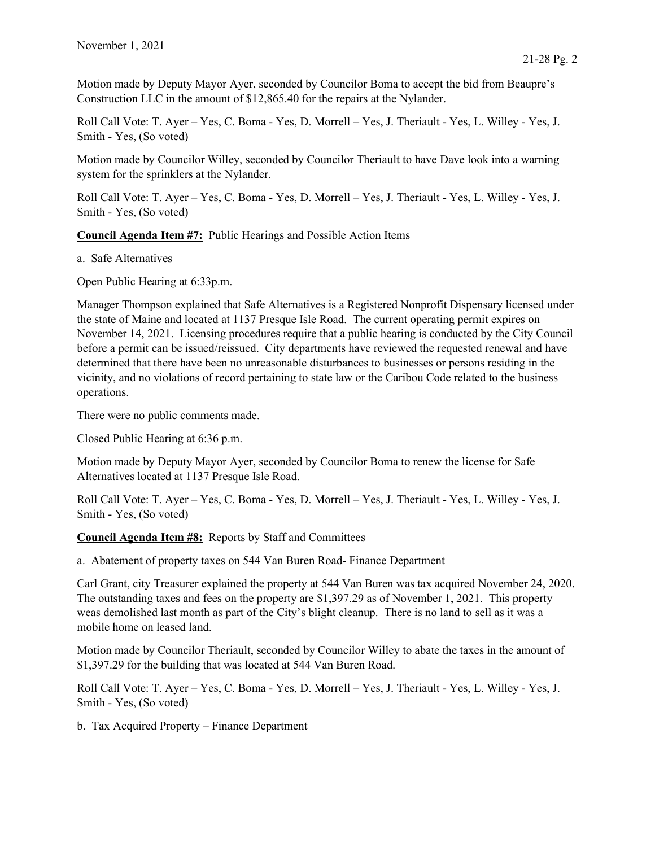Motion made by Deputy Mayor Ayer, seconded by Councilor Boma to accept the bid from Beaupre's Construction LLC in the amount of \$12,865.40 for the repairs at the Nylander.

Roll Call Vote: T. Ayer – Yes, C. Boma - Yes, D. Morrell – Yes, J. Theriault - Yes, L. Willey - Yes, J. Smith - Yes, (So voted)

Motion made by Councilor Willey, seconded by Councilor Theriault to have Dave look into a warning system for the sprinklers at the Nylander.

Roll Call Vote: T. Ayer – Yes, C. Boma - Yes, D. Morrell – Yes, J. Theriault - Yes, L. Willey - Yes, J. Smith - Yes, (So voted)

Council Agenda Item #7: Public Hearings and Possible Action Items

a. Safe Alternatives

Open Public Hearing at 6:33p.m.

Manager Thompson explained that Safe Alternatives is a Registered Nonprofit Dispensary licensed under the state of Maine and located at 1137 Presque Isle Road. The current operating permit expires on November 14, 2021. Licensing procedures require that a public hearing is conducted by the City Council before a permit can be issued/reissued. City departments have reviewed the requested renewal and have determined that there have been no unreasonable disturbances to businesses or persons residing in the vicinity, and no violations of record pertaining to state law or the Caribou Code related to the business operations.

There were no public comments made.

Closed Public Hearing at 6:36 p.m.

Motion made by Deputy Mayor Ayer, seconded by Councilor Boma to renew the license for Safe Alternatives located at 1137 Presque Isle Road.

Roll Call Vote: T. Ayer – Yes, C. Boma - Yes, D. Morrell – Yes, J. Theriault - Yes, L. Willey - Yes, J. Smith - Yes, (So voted)

Council Agenda Item #8: Reports by Staff and Committees

a. Abatement of property taxes on 544 Van Buren Road- Finance Department

Carl Grant, city Treasurer explained the property at 544 Van Buren was tax acquired November 24, 2020. The outstanding taxes and fees on the property are \$1,397.29 as of November 1, 2021. This property weas demolished last month as part of the City's blight cleanup. There is no land to sell as it was a mobile home on leased land.

Motion made by Councilor Theriault, seconded by Councilor Willey to abate the taxes in the amount of \$1,397.29 for the building that was located at 544 Van Buren Road.

Roll Call Vote: T. Ayer – Yes, C. Boma - Yes, D. Morrell – Yes, J. Theriault - Yes, L. Willey - Yes, J. Smith - Yes, (So voted)

b. Tax Acquired Property – Finance Department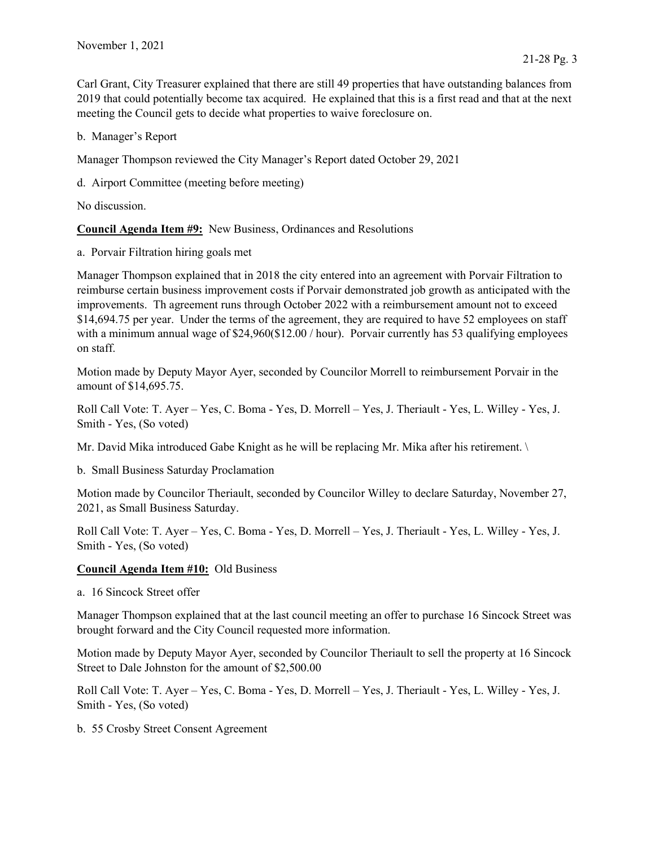Carl Grant, City Treasurer explained that there are still 49 properties that have outstanding balances from 2019 that could potentially become tax acquired. He explained that this is a first read and that at the next meeting the Council gets to decide what properties to waive foreclosure on.

b. Manager's Report

Manager Thompson reviewed the City Manager's Report dated October 29, 2021

d. Airport Committee (meeting before meeting)

No discussion.

Council Agenda Item #9: New Business, Ordinances and Resolutions

a. Porvair Filtration hiring goals met

Manager Thompson explained that in 2018 the city entered into an agreement with Porvair Filtration to reimburse certain business improvement costs if Porvair demonstrated job growth as anticipated with the improvements. Th agreement runs through October 2022 with a reimbursement amount not to exceed \$14,694.75 per year. Under the terms of the agreement, they are required to have 52 employees on staff with a minimum annual wage of \$24,960(\$12.00 / hour). Porvair currently has 53 qualifying employees on staff.

Motion made by Deputy Mayor Ayer, seconded by Councilor Morrell to reimbursement Porvair in the amount of \$14,695.75.

Roll Call Vote: T. Ayer – Yes, C. Boma - Yes, D. Morrell – Yes, J. Theriault - Yes, L. Willey - Yes, J. Smith - Yes, (So voted)

Mr. David Mika introduced Gabe Knight as he will be replacing Mr. Mika after his retirement. \

b. Small Business Saturday Proclamation

Motion made by Councilor Theriault, seconded by Councilor Willey to declare Saturday, November 27, 2021, as Small Business Saturday.

Roll Call Vote: T. Ayer – Yes, C. Boma - Yes, D. Morrell – Yes, J. Theriault - Yes, L. Willey - Yes, J. Smith - Yes, (So voted)

## Council Agenda Item #10: Old Business

a. 16 Sincock Street offer

Manager Thompson explained that at the last council meeting an offer to purchase 16 Sincock Street was brought forward and the City Council requested more information.

Motion made by Deputy Mayor Ayer, seconded by Councilor Theriault to sell the property at 16 Sincock Street to Dale Johnston for the amount of \$2,500.00

Roll Call Vote: T. Ayer – Yes, C. Boma - Yes, D. Morrell – Yes, J. Theriault - Yes, L. Willey - Yes, J. Smith - Yes, (So voted)

b. 55 Crosby Street Consent Agreement